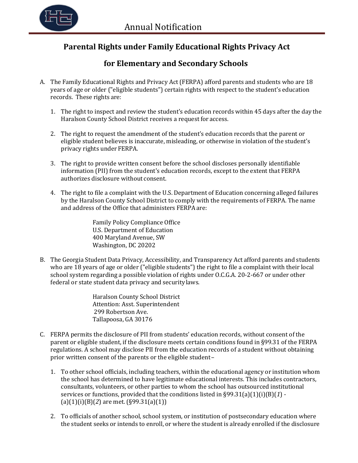

## **Parental Rights under Family Educational Rights Privacy Act**

## **for Elementary and Secondary Schools**

- A. The Family Educational Rights and Privacy Act (FERPA) afford parents and students who are 18 years of age or older ("eligible students") certain rights with respect to the student's education records. These rights are:
	- 1. The right to inspect and review the student's education records within 45 days after the day the Haralson County School District receives a request for access.
	- 2. The right to request the amendment of the student's education records that the parent or eligible student believes is inaccurate, misleading, or otherwise in violation of the student's privacy rights under FERPA.
	- 3. The right to provide written consent before the school discloses personally identifiable information (PII) from the student's education records, except to the extent that FERPA authorizes disclosure without consent.
	- 4. The right to file a complaint with the U.S. Department of Education concerning alleged failures by the Haralson County School District to comply with the requirements of FERPA. The name and address of the Office that administers FERPA are:

Family Policy Compliance Office U.S. Department of Education 400 Maryland Avenue, SW Washington, DC 20202

B. The Georgia Student Data Privacy, Accessibility, and Transparency Act afford parents and students who are 18 years of age or older ("eligible students") the right to file a complaint with their local school system regarding a possible violation of rights under O.C.G.A. 20-2-667 or under other federal or state student data privacy and security laws.

> Haralson County School District Attention: Asst. Superintendent 299 Robertson Ave. Tallapoosa, GA 30176

- C. FERPA permits the disclosure of PII from students' education records, without consent of the parent or eligible student, if the disclosure meets certain conditions found in §99.31 of the FERPA regulations. A school may disclose PII from the education records of a student without obtaining prior written consent of the parents or the eligible student –
	- 1. To other school officials, including teachers, within the educational agency or institution whom the school has determined to have legitimate educational interests. This includes contractors, consultants, volunteers, or other parties to whom the school has outsourced institutional services or functions, provided that the conditions listed in §99.31(a)(1)(i)(B)(*1*) -  $(a)(1)(i)(B)(2)$  are met.  $(S99.31(a)(1))$
	- 2. To officials of another school, school system, or institution of postsecondary education where the student seeks or intends to enroll, or where the student is already enrolled if the disclosure